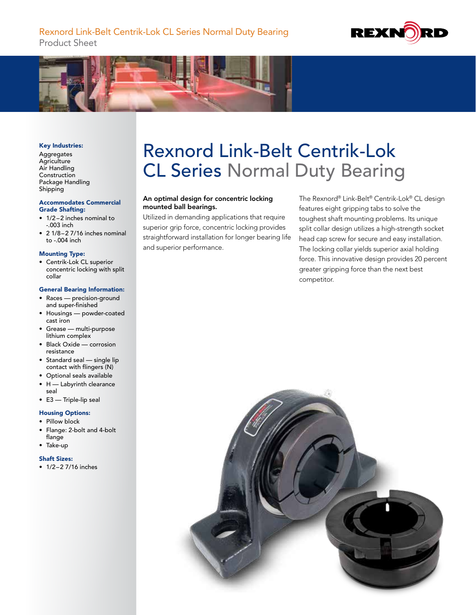



#### Key Industries:

Aggregates **Agriculture** Air Handling Construction Package Handling Shipping

#### Accommodates Commercial Grade Shafting:

- 1/2 –2 inches nominal to -.003 inch
- $\bullet$  2 1/8-2 7/16 inches nominal to -.004 inch

#### Mounting Type:

• Centrik-Lok CL superior concentric locking with split collar

### General Bearing Information:

- Races precision-ground and super-finished
- Housings powder-coated cast iron
- Grease multi-purpose lithium complex
- Black Oxide corrosion resistance
- Standard seal single lip contact with flingers (N)
- Optional seals available
- H Labyrinth clearance seal
- E3 Triple-lip seal

## Housing Options:

- Pillow block
- Flange: 2-bolt and 4-bolt flange
- Take-up

#### Shaft Sizes:

• 1/2-2 7/16 inches

# Rexnord Link-Belt Centrik-Lok CL Series Normal Duty Bearing

## An optimal design for concentric locking mounted ball bearings.

Utilized in demanding applications that require superior grip force, concentric locking provides straightforward installation for longer bearing life and superior performance.

The Rexnord® Link-Belt® Centrik-Lok® CL design features eight gripping tabs to solve the toughest shaft mounting problems. Its unique split collar design utilizes a high-strength socket head cap screw for secure and easy installation. The locking collar yields superior axial holding force. This innovative design provides 20 percent greater gripping force than the next best competitor.